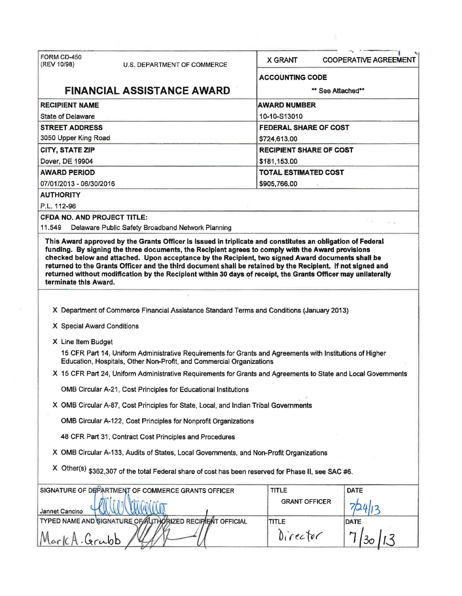| FORM CD-450                                                                                                    |                                                                                                     | <b>X GRANT</b><br><b>COOPERATIVE AGREEMENT</b>                                                                                                                                                                               |  |  |  |  |
|----------------------------------------------------------------------------------------------------------------|-----------------------------------------------------------------------------------------------------|------------------------------------------------------------------------------------------------------------------------------------------------------------------------------------------------------------------------------|--|--|--|--|
| (REV 10/98)                                                                                                    | <b>U.S. DEPARTMENT OF COMMERCE</b>                                                                  |                                                                                                                                                                                                                              |  |  |  |  |
|                                                                                                                |                                                                                                     | <b>ACCOUNTING CODE</b>                                                                                                                                                                                                       |  |  |  |  |
|                                                                                                                | <b>FINANCIAL ASSISTANCE AWARD</b>                                                                   | ** See Attached**                                                                                                                                                                                                            |  |  |  |  |
| <b>RECIPIENT NAME</b>                                                                                          |                                                                                                     | <b>AWARD NUMBER</b>                                                                                                                                                                                                          |  |  |  |  |
| <b>State of Delaware</b>                                                                                       |                                                                                                     | 10-10-S13010                                                                                                                                                                                                                 |  |  |  |  |
| <b>STREET ADDRESS</b>                                                                                          |                                                                                                     | <b>FEDERAL SHARE OF COST</b>                                                                                                                                                                                                 |  |  |  |  |
| 3050 Upper King Road                                                                                           |                                                                                                     | \$724,613.00                                                                                                                                                                                                                 |  |  |  |  |
| <b>CITY, STATE ZIP</b>                                                                                         |                                                                                                     | <b>RECIPIENT SHARE OF COST</b>                                                                                                                                                                                               |  |  |  |  |
| Dover, DE 19904                                                                                                |                                                                                                     | \$181,153.00                                                                                                                                                                                                                 |  |  |  |  |
| <b>AWARD PERIOD</b>                                                                                            |                                                                                                     | <b>TOTAL ESTIMATED COST</b>                                                                                                                                                                                                  |  |  |  |  |
| 07/01/2013 - 06/30/2016<br><b>AUTHORITY</b>                                                                    |                                                                                                     | \$905,766.00                                                                                                                                                                                                                 |  |  |  |  |
| P.L. 112-96                                                                                                    |                                                                                                     |                                                                                                                                                                                                                              |  |  |  |  |
| <b>CFDA NO. AND PROJECT TITLE:</b>                                                                             |                                                                                                     |                                                                                                                                                                                                                              |  |  |  |  |
| 11.549                                                                                                         | Delaware Public Safety Broadband Network Planning                                                   |                                                                                                                                                                                                                              |  |  |  |  |
| terminate this Award.                                                                                          |                                                                                                     | returned to the Grants Officer and the third document shall be retained by the Recipient. If not signed and<br>returned without modification by the Reciplent within 30 days of receipt, the Grants Officer may unilaterally |  |  |  |  |
|                                                                                                                | X Department of Commerce Financial Assistance Standard Terms and Conditions (January 2013)          |                                                                                                                                                                                                                              |  |  |  |  |
| X Special Award Conditions                                                                                     |                                                                                                     |                                                                                                                                                                                                                              |  |  |  |  |
| X Line Item Budget                                                                                             |                                                                                                     |                                                                                                                                                                                                                              |  |  |  |  |
|                                                                                                                | Education, Hospitals, Other Non-Profit, and Commercial Organizations                                | 15 CFR Part 14, Uniform Administrative Requirements for Grants and Agreements with Institutions of Higher                                                                                                                    |  |  |  |  |
| X 15 CFR Part 24, Uniform Administrative Requirements for Grants and Agreements to State and Local Governments |                                                                                                     |                                                                                                                                                                                                                              |  |  |  |  |
|                                                                                                                | OMB Circular A-21, Cost Principles for Educational Institutions                                     |                                                                                                                                                                                                                              |  |  |  |  |
|                                                                                                                | X OMB Circular A-87, Cost Principles for State, Local, and Indian Tribal Governments                |                                                                                                                                                                                                                              |  |  |  |  |
|                                                                                                                | OMB Circular A-122, Cost Principles for Nonprofit Organizations                                     |                                                                                                                                                                                                                              |  |  |  |  |
|                                                                                                                | 48 CFR Part 31, Contract Cost Principles and Procedures                                             |                                                                                                                                                                                                                              |  |  |  |  |
|                                                                                                                | X OMB Circular A-133, Audits of States, Local Governments, and Non-Profit Organizations             |                                                                                                                                                                                                                              |  |  |  |  |
|                                                                                                                | X Other(s) \$362,307 of the total Federal share of cost has been reserved for Phase II, see SAC #6. |                                                                                                                                                                                                                              |  |  |  |  |
|                                                                                                                | SIGNATURE OF DEPARTMENT OF COMMERCE GRANTS OFFICER                                                  | DATE<br><b>TITLE</b>                                                                                                                                                                                                         |  |  |  |  |
| Jannet Cancino                                                                                                 |                                                                                                     | <b>GRANT OFFICER</b>                                                                                                                                                                                                         |  |  |  |  |
|                                                                                                                | TYPED NAME AND SIGNATURE OF AUTHORIZED RECIPIENT OFFICIAL                                           | <b>TITLE</b><br><b>DATE</b>                                                                                                                                                                                                  |  |  |  |  |
|                                                                                                                |                                                                                                     | Director                                                                                                                                                                                                                     |  |  |  |  |

 $\mathcal{C}^{\text{max}}$